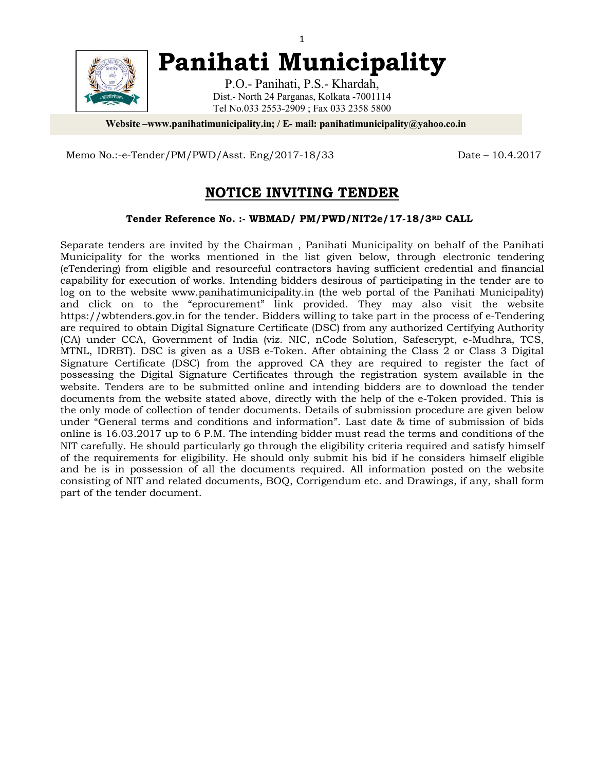

**Panihati Municipality**

P.O.- Panihati, P.S.- Khardah, Dist.- North 24 Parganas, Kolkata -7001114 Tel No.033 2553-2909 ; Fax 033 2358 5800

**Website –www.panihatimunicipality.in; / E- mail: panihatimunicipality@yahoo.co.in**

Memo No.:-e-Tender/PM/PWD/Asst. Eng/2017-18/33 Date – 10.4.2017

# **NOTICE INVITING TENDER**

#### **Tender Reference No. :- WBMAD/ PM/PWD/NIT2e/17-18/3RD CALL**

Separate tenders are invited by the Chairman , Panihati Municipality on behalf of the Panihati Municipality for the works mentioned in the list given below, through electronic tendering (eTendering) from eligible and resourceful contractors having sufficient credential and financial capability for execution of works. Intending bidders desirous of participating in the tender are to log on to the website www.panihatimunicipality.in (the web portal of the Panihati Municipality) and click on to the "eprocurement" link provided. They may also visit the website https://wbtenders.gov.in for the tender. Bidders willing to take part in the process of e-Tendering are required to obtain Digital Signature Certificate (DSC) from any authorized Certifying Authority (CA) under CCA, Government of India (viz. NIC, nCode Solution, Safescrypt, e-Mudhra, TCS, MTNL, IDRBT). DSC is given as a USB e-Token. After obtaining the Class 2 or Class 3 Digital Signature Certificate (DSC) from the approved CA they are required to register the fact of possessing the Digital Signature Certificates through the registration system available in the website. Tenders are to be submitted online and intending bidders are to download the tender documents from the website stated above, directly with the help of the e-Token provided. This is the only mode of collection of tender documents. Details of submission procedure are given below under "General terms and conditions and information". Last date & time of submission of bids online is 16.03.2017 up to 6 P.M. The intending bidder must read the terms and conditions of the NIT carefully. He should particularly go through the eligibility criteria required and satisfy himself of the requirements for eligibility. He should only submit his bid if he considers himself eligible and he is in possession of all the documents required. All information posted on the website consisting of NIT and related documents, BOQ, Corrigendum etc. and Drawings, if any, shall form part of the tender document.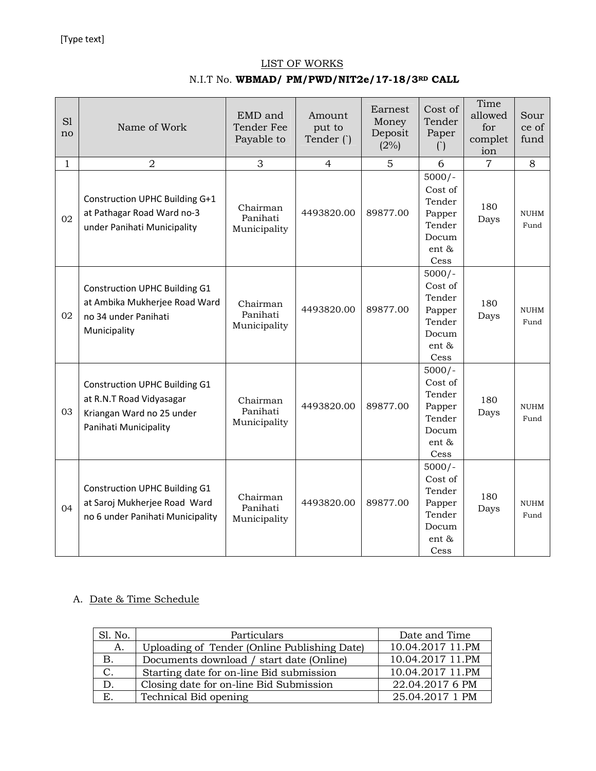### LIST OF WORKS

## N.I.T No. **WBMAD/ PM/PWD/NIT2e/17-18/3RD CALL**

| S1<br>no     | Name of Work                                                                                                           | EMD and<br>Tender Fee<br>Payable to  | Amount<br>put to<br>Tender () | Earnest<br>Money<br>Deposit<br>(2%) | Cost of<br>Tender<br>Paper<br>$\circ$                                       | Time<br>allowed<br>for<br>complet<br>ion | Sour<br>ce of<br>fund |
|--------------|------------------------------------------------------------------------------------------------------------------------|--------------------------------------|-------------------------------|-------------------------------------|-----------------------------------------------------------------------------|------------------------------------------|-----------------------|
| $\mathbf{1}$ | $\overline{2}$                                                                                                         | 3                                    | 4                             | 5                                   | 6                                                                           | $\overline{7}$                           | 8                     |
| 02           | Construction UPHC Building G+1<br>at Pathagar Road Ward no-3<br>under Panihati Municipality                            | Chairman<br>Panihati<br>Municipality | 4493820.00                    | 89877.00                            | $5000/-$<br>Cost of<br>Tender<br>Papper<br>Tender<br>Docum<br>ent &<br>Cess | 180<br>Days                              | <b>NUHM</b><br>Fund   |
| 02           | <b>Construction UPHC Building G1</b><br>at Ambika Mukherjee Road Ward<br>no 34 under Panihati<br>Municipality          | Chairman<br>Panihati<br>Municipality | 4493820.00                    | 89877.00                            | $5000/-$<br>Cost of<br>Tender<br>Papper<br>Tender<br>Docum<br>ent &<br>Cess | 180<br>Days                              | <b>NUHM</b><br>Fund   |
| 03           | <b>Construction UPHC Building G1</b><br>at R.N.T Road Vidyasagar<br>Kriangan Ward no 25 under<br>Panihati Municipality | Chairman<br>Panihati<br>Municipality | 4493820.00                    | 89877.00                            | $5000/-$<br>Cost of<br>Tender<br>Papper<br>Tender<br>Docum<br>ent &<br>Cess | 180<br>Days                              | <b>NUHM</b><br>Fund   |
| 04           | <b>Construction UPHC Building G1</b><br>at Saroj Mukherjee Road Ward<br>no 6 under Panihati Municipality               | Chairman<br>Panihati<br>Municipality | 4493820.00                    | 89877.00                            | $5000/-$<br>Cost of<br>Tender<br>Papper<br>Tender<br>Docum<br>ent &<br>Cess | 180<br>Days                              | <b>NUHM</b><br>Fund   |

# A. Date & Time Schedule

| Sl. No. | Particulars                                  | Date and Time    |  |
|---------|----------------------------------------------|------------------|--|
| A.      | Uploading of Tender (Online Publishing Date) | 10.04.2017 11.PM |  |
| Β.      | Documents download / start date (Online)     | 10.04.2017 11.PM |  |
| C.      | Starting date for on-line Bid submission     | 10.04.2017 11.PM |  |
| D.      | Closing date for on-line Bid Submission      | 22.04.2017 6 PM  |  |
| Е.      | Technical Bid opening                        | 25.04.2017 1 PM  |  |